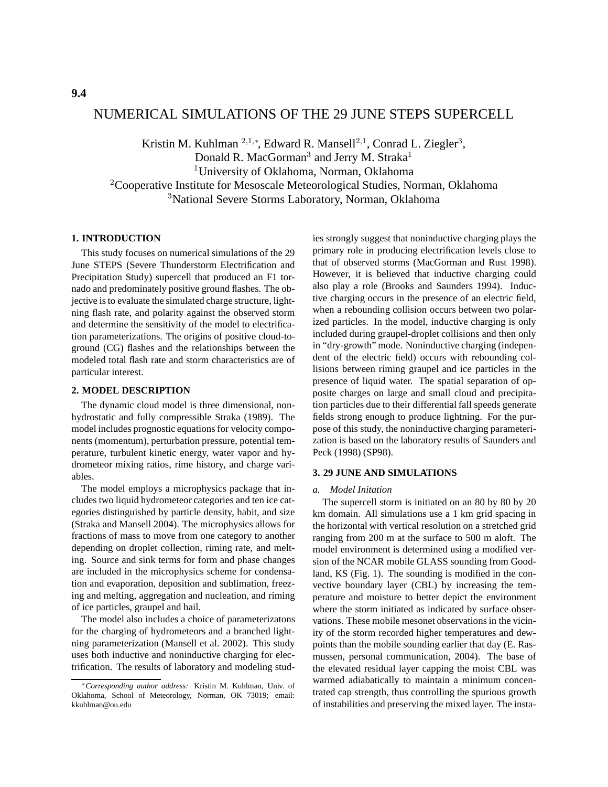# NUMERICAL SIMULATIONS OF THE 29 JUNE STEPS SUPERCELL

Kristin M. Kuhlman <sup>2,1,∗</sup>, Edward R. Mansell<sup>2,1</sup>, Conrad L. Ziegler<sup>3</sup>, Donald R. MacGorman<sup>3</sup> and Jerry M. Straka<sup>1</sup>

<sup>1</sup>University of Oklahoma, Norman, Oklahoma

<sup>2</sup>Cooperative Institute for Mesoscale Meteorological Studies, Norman, Oklahoma

<sup>3</sup>National Severe Storms Laboratory, Norman, Oklahoma

#### **1. INTRODUCTION**

This study focuses on numerical simulations of the 29 June STEPS (Severe Thunderstorm Electrification and Precipitation Study) supercell that produced an F1 tornado and predominately positive ground flashes. The objective is to evaluate the simulated charge structure, lightning flash rate, and polarity against the observed storm and determine the sensitivity of the model to electrification parameterizations. The origins of positive cloud-toground (CG) flashes and the relationships between the modeled total flash rate and storm characteristics are of particular interest.

## **2. MODEL DESCRIPTION**

The dynamic cloud model is three dimensional, nonhydrostatic and fully compressible Straka (1989). The model includes prognostic equations for velocity components (momentum), perturbation pressure, potential temperature, turbulent kinetic energy, water vapor and hydrometeor mixing ratios, rime history, and charge variables.

The model employs a microphysics package that includes two liquid hydrometeor categories and ten ice categories distinguished by particle density, habit, and size (Straka and Mansell 2004). The microphysics allows for fractions of mass to move from one category to another depending on droplet collection, riming rate, and melting. Source and sink terms for form and phase changes are included in the microphysics scheme for condensation and evaporation, deposition and sublimation, freezing and melting, aggregation and nucleation, and riming of ice particles, graupel and hail.

The model also includes a choice of parameterizatons for the charging of hydrometeors and a branched lightning parameterization (Mansell et al. 2002). This study uses both inductive and noninductive charging for electrification. The results of laboratory and modeling studies strongly suggest that noninductive charging plays the primary role in producing electrification levels close to that of observed storms (MacGorman and Rust 1998). However, it is believed that inductive charging could also play a role (Brooks and Saunders 1994). Inductive charging occurs in the presence of an electric field, when a rebounding collision occurs between two polarized particles. In the model, inductive charging is only included during graupel-droplet collisions and then only in "dry-growth" mode. Noninductive charging (independent of the electric field) occurs with rebounding collisions between riming graupel and ice particles in the presence of liquid water. The spatial separation of opposite charges on large and small cloud and precipitation particles due to their differential fall speeds generate fields strong enough to produce lightning. For the purpose of this study, the noninductive charging parameterization is based on the laboratory results of Saunders and Peck (1998) (SP98).

## **3. 29 JUNE AND SIMULATIONS**

## *a. Model Initation*

The supercell storm is initiated on an 80 by 80 by 20 km domain. All simulations use a 1 km grid spacing in the horizontal with vertical resolution on a stretched grid ranging from 200 m at the surface to 500 m aloft. The model environment is determined using a modified version of the NCAR mobile GLASS sounding from Goodland, KS (Fig. 1). The sounding is modified in the convective boundary layer (CBL) by increasing the temperature and moisture to better depict the environment where the storm initiated as indicated by surface observations. These mobile mesonet observations in the vicinity of the storm recorded higher temperatures and dewpoints than the mobile sounding earlier that day (E. Rasmussen, personal communication, 2004). The base of the elevated residual layer capping the moist CBL was warmed adiabatically to maintain a minimum concentrated cap strength, thus controlling the spurious growth of instabilities and preserving the mixed layer. The insta-

<sup>∗</sup>*Corresponding author address:* Kristin M. Kuhlman, Univ. of Oklahoma, School of Meteorology, Norman, OK 73019; email: kkuhlman@ou.edu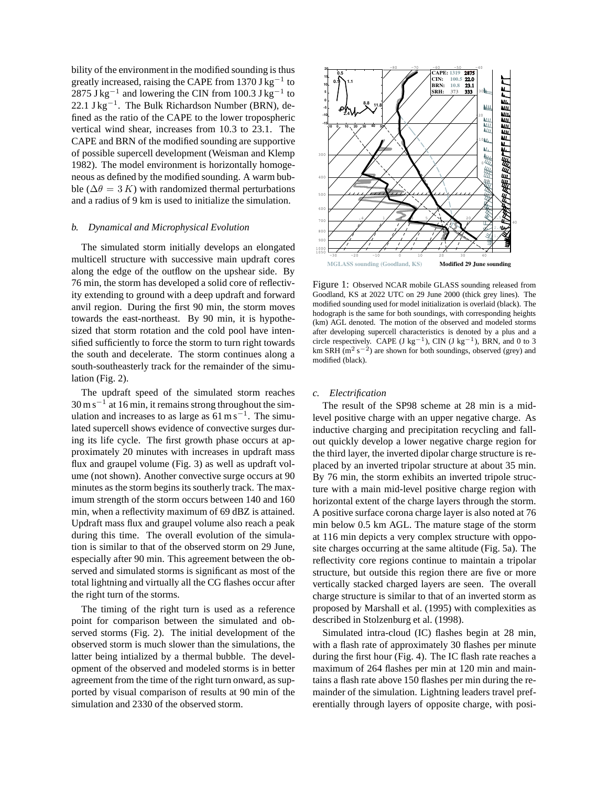bility of the environment in the modified sounding is thus greatly increased, raising the CAPE from 1370 J kg<sup>-1</sup> to  $2875 \text{ J kg}^{-1}$  and lowering the CIN from 100.3 J kg<sup>-1</sup> to 22.1 J kg<sup>-1</sup>. The Bulk Richardson Number (BRN), defined as the ratio of the CAPE to the lower tropospheric vertical wind shear, increases from 10.3 to 23.1. The CAPE and BRN of the modified sounding are supportive of possible supercell development (Weisman and Klemp 1982). The model environment is horizontally homogeneous as defined by the modified sounding. A warm bubble ( $\Delta\theta = 3 K$ ) with randomized thermal perturbations and a radius of 9 km is used to initialize the simulation.

#### *b. Dynamical and Microphysical Evolution*

The simulated storm initially develops an elongated multicell structure with successive main updraft cores along the edge of the outflow on the upshear side. By 76 min, the storm has developed a solid core of reflectivity extending to ground with a deep updraft and forward anvil region. During the first 90 min, the storm moves towards the east-northeast. By 90 min, it is hypothesized that storm rotation and the cold pool have intensified sufficiently to force the storm to turn right towards the south and decelerate. The storm continues along a south-southeasterly track for the remainder of the simulation (Fig. 2).

The updraft speed of the simulated storm reaches 30 m s−<sup>1</sup> at 16 min, it remains strong throughout the simulation and increases to as large as  $61 \text{ m s}^{-1}$ . The simulated supercell shows evidence of convective surges during its life cycle. The first growth phase occurs at approximately 20 minutes with increases in updraft mass flux and graupel volume (Fig. 3) as well as updraft volume (not shown). Another convective surge occurs at 90 minutes as the storm begins its southerly track. The maximum strength of the storm occurs between 140 and 160 min, when a reflectivity maximum of 69 dBZ is attained. Updraft mass flux and graupel volume also reach a peak during this time. The overall evolution of the simulation is similar to that of the observed storm on 29 June, especially after 90 min. This agreement between the observed and simulated storms is significant as most of the total lightning and virtually all the CG flashes occur after the right turn of the storms.

The timing of the right turn is used as a reference point for comparison between the simulated and observed storms (Fig. 2). The initial development of the observed storm is much slower than the simulations, the latter being intialized by a thermal bubble. The development of the observed and modeled storms is in better agreement from the time of the right turn onward, as supported by visual comparison of results at 90 min of the simulation and 2330 of the observed storm.



Figure 1: Observed NCAR mobile GLASS sounding released from Goodland, KS at 2022 UTC on 29 June 2000 (thick grey lines). The modified sounding used for model initialization is overlaid (black). The hodograph is the same for both soundings, with corresponding heights (km) AGL denoted. The motion of the observed and modeled storms after developing supercell characteristics is denoted by a plus and a circle respectively. CAPE (J kg<sup>-1</sup>), CIN (J kg<sup>-1</sup>), BRN, and 0 to 3 km SRH ( $m^2$  s<sup>-2</sup>) are shown for both soundings, observed (grey) and modified (black).

# *c. Electrification*

The result of the SP98 scheme at 28 min is a midlevel positive charge with an upper negative charge. As inductive charging and precipitation recycling and fallout quickly develop a lower negative charge region for the third layer, the inverted dipolar charge structure is replaced by an inverted tripolar structure at about 35 min. By 76 min, the storm exhibits an inverted tripole structure with a main mid-level positive charge region with horizontal extent of the charge layers through the storm. A positive surface corona charge layer is also noted at 76 min below 0.5 km AGL. The mature stage of the storm at 116 min depicts a very complex structure with opposite charges occurring at the same altitude (Fig. 5a). The reflectivity core regions continue to maintain a tripolar structure, but outside this region there are five or more vertically stacked charged layers are seen. The overall charge structure is similar to that of an inverted storm as proposed by Marshall et al. (1995) with complexities as described in Stolzenburg et al. (1998).

Simulated intra-cloud (IC) flashes begin at 28 min, with a flash rate of approximately 30 flashes per minute during the first hour (Fig. 4). The IC flash rate reaches a maximum of 264 flashes per min at 120 min and maintains a flash rate above 150 flashes per min during the remainder of the simulation. Lightning leaders travel preferentially through layers of opposite charge, with posi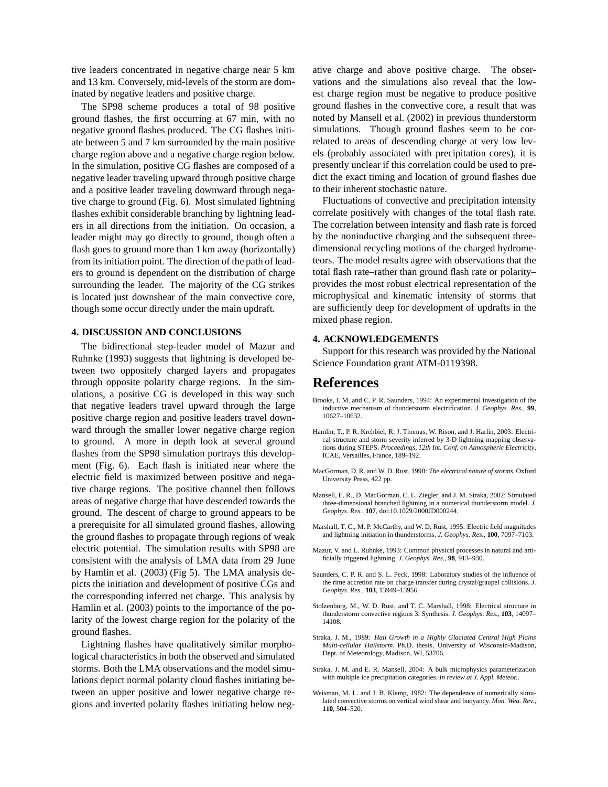tive leaders concentrated in negative charge near 5 km and 13 km. Conversely, mid-levels of the storm are dominated by negative leaders and positive charge.

The SP98 scheme produces a total of 98 positive ground flashes, the first occurring at 67 min, with no negative ground flashes produced. The CG flashes initiate between 5 and 7 km surrounded by the main positive charge region above and a negative charge region below. In the simulation, positive CG flashes are composed of a negative leader traveling upward through positive charge and a positive leader traveling downward through negative charge to ground (Fig. 6). Most simulated lightning flashes exhibit considerable branching by lightning leaders in all directions from the initiation. On occasion, a leader might may go directly to ground, though often a flash goes to ground more than 1 km away (horizontally) from its initiation point. The direction of the path of leaders to ground is dependent on the distribution of charge surrounding the leader. The majority of the CG strikes is located just downshear of the main convective core, though some occur directly under the main updraft.

## **4. DISCUSSION AND CONCLUSIONS**

The bidirectional step-leader model of Mazur and Ruhnke (1993) suggests that lightning is developed between two oppositely charged layers and propagates through opposite polarity charge regions. In the simulations, a positive CG is developed in this way such that negative leaders travel upward through the large positive charge region and positive leaders travel downward through the smaller lower negative charge region to ground. A more in depth look at several ground flashes from the SP98 simulation portrays this development (Fig. 6). Each flash is initiated near where the electric field is maximized between positive and negative charge regions. The positive channel then follows areas of negative charge that have descended towards the ground. The descent of charge to ground appears to be a prerequisite for all simulated ground flashes, allowing the ground flashes to propagate through regions of weak electric potential. The simulation results with SP98 are consistent with the analysis of LMA data from 29 June by Hamlin et al. (2003) (Fig 5). The LMA analysis depicts the initiation and development of positive CGs and the corresponding inferred net charge. This analysis by Hamlin et al. (2003) points to the importance of the polarity of the lowest charge region for the polarity of the ground flashes.

Lightning flashes have qualitatively similar morphological characteristics in both the observed and simulated storms. Both the LMA observations and the model simulations depict normal polarity cloud flashes initiating between an upper positive and lower negative charge regions and inverted polarity flashes initiating below negative charge and above positive charge. The observations and the simulations also reveal that the lowest charge region must be negative to produce positive ground flashes in the convective core, a result that was noted by Mansell et al. (2002) in previous thunderstorm simulations. Though ground flashes seem to be correlated to areas of descending charge at very low levels (probably associated with precipitation cores), it is presently unclear if this correlation could be used to predict the exact timing and location of ground flashes due to their inherent stochastic nature.

Fluctuations of convective and precipitation intensity correlate positively with changes of the total flash rate. The correlation between intensity and flash rate is forced by the noninductive charging and the subsequent threedimensional recycling motions of the charged hydrometeors. The model results agree with observations that the total flash rate–rather than ground flash rate or polarity– provides the most robust electrical representation of the microphysical and kinematic intensity of storms that are sufficiently deep for development of updrafts in the mixed phase region.

# **4. ACKNOWLEDGEMENTS**

Support for this research was provided by the National Science Foundation grant ATM-0119398.

# **References**

- Brooks, I. M. and C. P. R. Saunders, 1994: An experimental investigation of the inductive mechanism of thunderstorm electrification. *J. Geophys. Res.*, **99**, 10627–10632.
- Hamlin, T., P. R. Krehbiel, R. J. Thomas, W. Rison, and J. Harlin, 2003: Electrical structure and storm severity inferred by 3-D lightning mapping observations during STEPS. *Proceedings, 12th Int. Conf. on Atmospheric Electricity*, ICAE, Versailles, France, 189–192.
- MacGorman, D. R. and W. D. Rust, 1998: *The electrical nature of storms*. Oxford University Press, 422 pp.
- Mansell, E. R., D. MacGorman, C. L. Ziegler, and J. M. Straka, 2002: Simulated three-dimensional branched lightning in a numerical thunderstorm model. *J. Geophys. Res.*, **107**, doi:10.1029/2000JD000244.
- Marshall, T. C., M. P. McCarthy, and W. D. Rust, 1995: Electric field magnitudes and lightning initiation in thunderstorms. *J. Geophys. Res.*, **100**, 7097–7103.
- Mazur, V. and L. Ruhnke, 1993: Common physical processes in natural and artificially triggered lightning. *J. Geophys. Res.*, **98**, 913–930.
- Saunders, C. P. R. and S. L. Peck, 1998: Laboratory studies of the influence of the rime accretion rate on charge transfer during crystal/graupel collisions. *J. Geophys. Res.*, **103**, 13949–13956.
- Stolzenburg, M., W. D. Rust, and T. C. Marshall, 1998: Electrical structure in thunderstorm convective regions 3. Synthesis. *J. Geophys. Res.*, **103**, 14097– 14108.
- Straka, J. M., 1989: *Hail Growth in a Highly Glaciated Central High Plains Multi-cellular Hailstorm*. Ph.D. thesis, University of Wisconsin-Madison, Dept. of Meteorology, Madison, WI, 53706.
- Straka, J. M. and E. R. Mansell, 2004: A bulk microphysics parameterization with multiple ice precipitation categories. *In review at J. Appl. Meteor.*.
- Weisman, M. L. and J. B. Klemp, 1982: The dependence of numerically simulated convective storms on vertical wind shear and buoyancy. *Mon. Wea. Rev.*, **110**, 504–520.